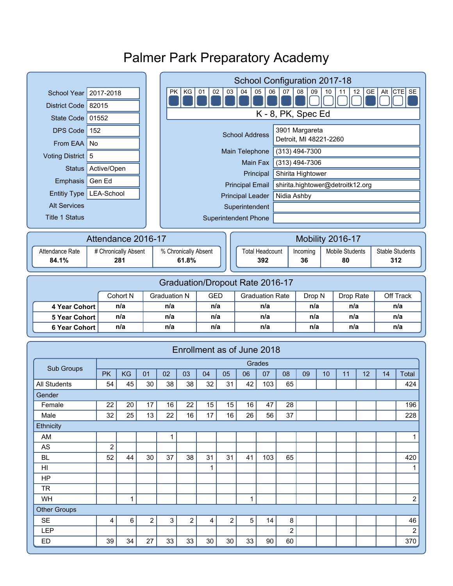# Palmer Park Preparatory Academy

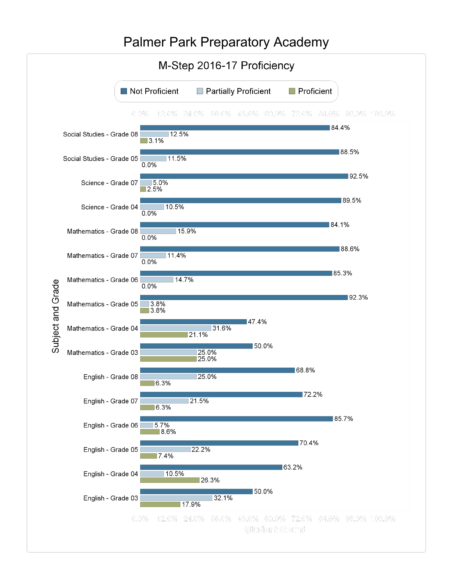#### Palmer Park Preparatory AcademyM-Step 2016-17 Proficiency Not Proficient Partially Proficient  $\Box$  Proficient  $0.0\%$  12.0% 24.0% 36.0% 48.0% 60.0% 72.0% 84.0% 96.0% 108.0% 84.4% Social Studies - Grade 08  $\sqrt{12.5\%}$  $\sqrt{3.1\%}$ 88.5% Social Studies - Grade 05 11.5%  $0.0%$ ■92.5% Science - Grade 07 5.0%  $\Box$  2.5% 89.5% Science - Grade 04 10.5%  $0.0%$ 84.1% Mathematics - Grade 08 15.9%  $0.0%$ 88.6% Mathematics - Grade 07 11.4%  $0.0%$ 85.3% Mathematics - Grade 06  $14.7%$ Subject and Grade  $0.0%$ 92.3%  $3.8\%$ Mathematics - Grade 05 3.8% 147.4% Mathematics - Grade 04 31.6% 21.1% ■50.0% 25.0%<br>25.0% Mathematics - Grade 03 68.8% English - Grade 08 25.0% 6.3% 72.2% English - Grade 07 21.5% 6.3% 85.7%  $5.7%$ English - Grade 06 8.6% 70.4% 22.2% English - Grade 05 7.4% 63.2% English - Grade 04 10.5% 26.3% 150.0% English - Grade 03 32.1% 17.9% 12.0% 24.0% 36.0% 48.0% 60.0% 72.0% 84.0% 96.0% 108.0%  $0.0\%$ Student Count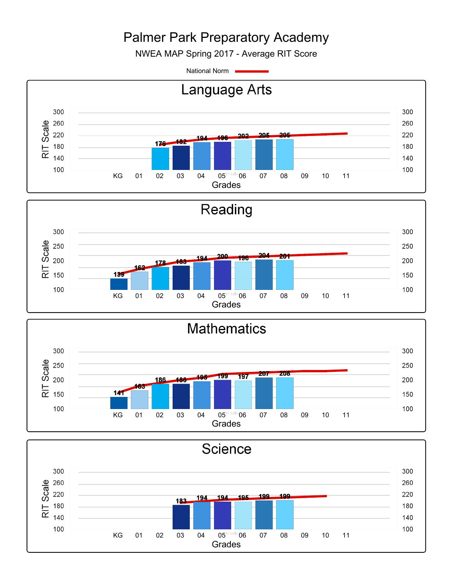# Palmer Park Preparatory Academy

NWEA MAP Spring 2017 - Average RIT Score

National Norm